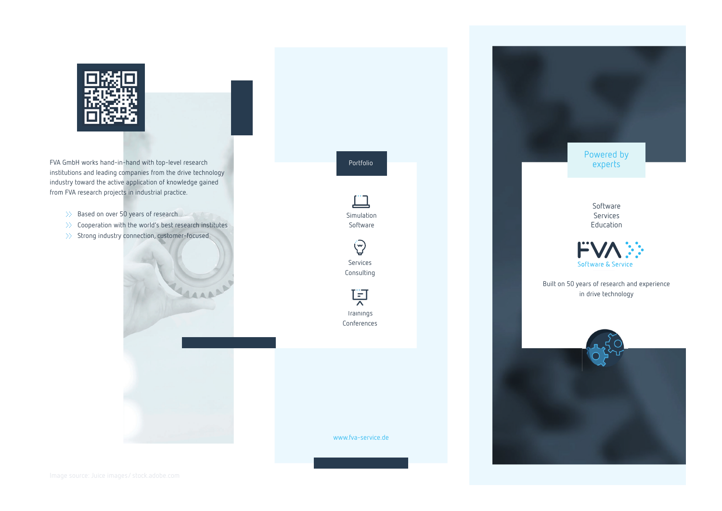

FVA GmbH works hand-in-hand with top-level research institutions and leading companies from the drive technology industry toward the active application of knowledge gained from FVA research projects in industrial practice.

- 
- $\gg$  Cooperation with the world's best research institutes
- $\gg$  Strong industry connection, customer-focused